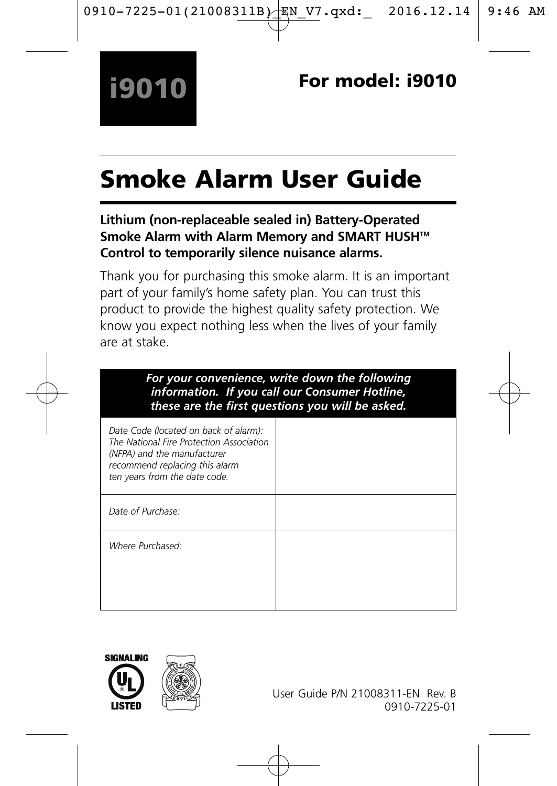# Smoke Alarm User Guide

## **Lithium (non-replaceable sealed in) Battery-Operated Smoke Alarm with Alarm Memory and SMART HUSH™ Control to temporarily silence nuisance alarms.**

Thank you for purchasing this smoke alarm. It is an important part of your family's home safety plan. You can trust this product to provide the highest quality safety protection. We know you expect nothing less when the lives of your family are at stake.

| For your convenience, write down the following<br>information. If you call our Consumer Hotline,<br>these are the first questions you will be asked.                                |  |
|-------------------------------------------------------------------------------------------------------------------------------------------------------------------------------------|--|
| Date Code (located on back of alarm):<br>The National Fire Protection Association<br>(NFPA) and the manufacturer<br>recommend replacing this alarm<br>ten years from the date code. |  |
| Date of Purchase:                                                                                                                                                                   |  |
| Where Purchased:                                                                                                                                                                    |  |



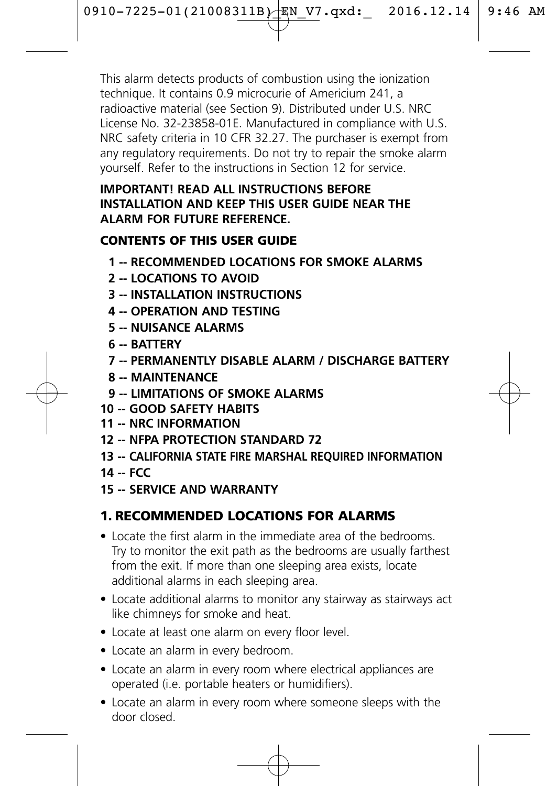This alarm detects products of combustion using the ionization technique. It contains 0.9 microcurie of Americium 241, a radioactive material (see Section 9). Distributed under U.S. NRC License No. 32-23858-01E. Manufactured in compliance with U.S. NRC safety criteria in 10 CFR 32.27. The purchaser is exempt from any regulatory requirements. Do not try to repair the smoke alarm yourself. Refer to the instructions in Section 12 for service.

#### **IMPORTANT! READ ALL INSTRUCTIONS BEFORE INSTALLATION AND KEEP THIS USER GUIDE NEAR THE ALARM FOR FUTURE REFERENCE.**

## CONTENTS OF THIS USER GUIDE

- **1 -- RECOMMENDED LOCATIONS FOR SMOKE ALARMS**
- **2 -- LOCATIONS TO AVOID**
- **3 -- INSTALLATION INSTRUCTIONS**
- **4 -- OPERATION AND TESTING**
- **5 -- NUISANCE ALARMS**
- **6 -- BATTERY**
- **7 -- PERMANENTLY DISABLE ALARM / DISCHARGE BATTERY**
- **8 -- MAINTENANCE**
- **9 -- LIMITATIONS OF SMOKE ALARMS**
- **10 -- GOOD SAFETY HABITS**
- **11 -- NRC INFORMATION**
- **12 -- NFPA PROTECTION STANDARD 72**
- **13 -- CALIFORNIA STATE FIRE MARSHAL REQUIRED INFORMATION**
- **14 -- FCC**
- **15 -- SERVICE AND WARRANTY**

## 1. RECOMMENDED LOCATIONS FOR ALARMS

- Locate the first alarm in the immediate area of the bedrooms. Try to monitor the exit path as the bedrooms are usually farthest from the exit. If more than one sleeping area exists, locate additional alarms in each sleeping area.
- Locate additional alarms to monitor any stairway as stairways act like chimneys for smoke and heat.
- Locate at least one alarm on every floor level.
- Locate an alarm in every bedroom.
- Locate an alarm in every room where electrical appliances are operated (i.e. portable heaters or humidifiers).
- Locate an alarm in every room where someone sleeps with the door closed.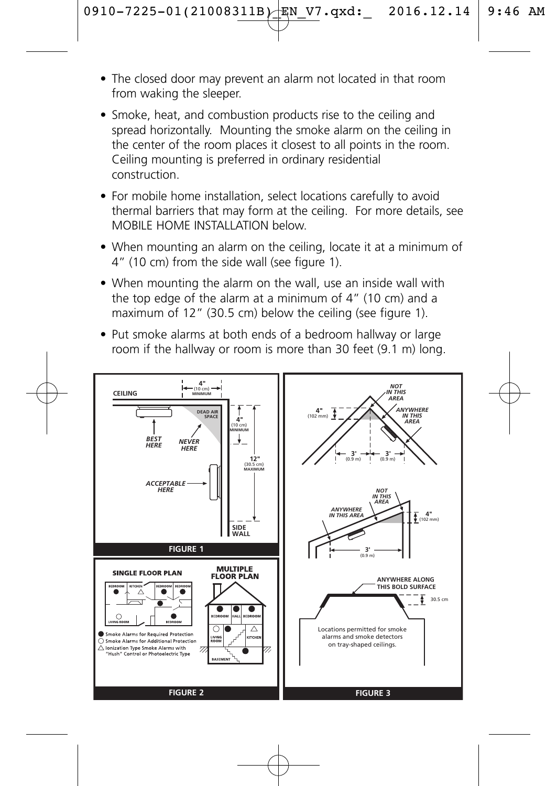- The closed door may prevent an alarm not located in that room from waking the sleeper.
- Smoke, heat, and combustion products rise to the ceiling and spread horizontally. Mounting the smoke alarm on the ceiling in the center of the room places it closest to all points in the room. Ceiling mounting is preferred in ordinary residential construction.
- For mobile home installation, select locations carefully to avoid thermal barriers that may form at the ceiling. For more details, see MOBILE HOME INSTALLATION below.
- When mounting an alarm on the ceiling, locate it at a minimum of 4" (10 cm) from the side wall (see figure 1).
- When mounting the alarm on the wall, use an inside wall with the top edge of the alarm at a minimum of 4" (10 cm) and a maximum of 12" (30.5 cm) below the ceiling (see figure 1).
- Put smoke alarms at both ends of a bedroom hallway or large room if the hallway or room is more than 30 feet (9.1 m) long.

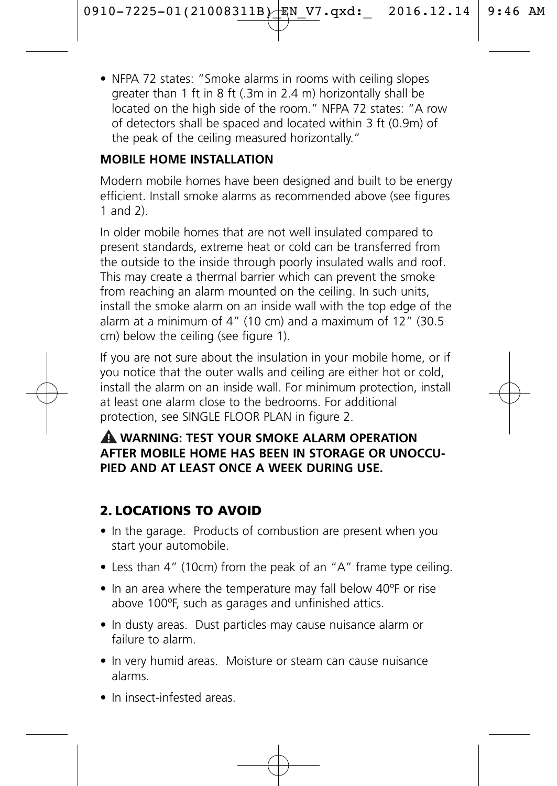• NFPA 72 states: "Smoke alarms in rooms with ceiling slopes greater than 1 ft in 8 ft (.3m in 2.4 m) horizontally shall be located on the high side of the room." NFPA 72 states: "A row of detectors shall be spaced and located within 3 ft (0.9m) of the peak of the ceiling measured horizontally."

## **MOBILE HOME INSTALLATION**

Modern mobile homes have been designed and built to be energy efficient. Install smoke alarms as recommended above (see figures 1 and 2).

In older mobile homes that are not well insulated compared to present standards, extreme heat or cold can be transferred from the outside to the inside through poorly insulated walls and roof. This may create a thermal barrier which can prevent the smoke from reaching an alarm mounted on the ceiling. In such units, install the smoke alarm on an inside wall with the top edge of the alarm at a minimum of 4" (10 cm) and a maximum of 12" (30.5 cm) below the ceiling (see figure 1).

If you are not sure about the insulation in your mobile home, or if you notice that the outer walls and ceiling are either hot or cold, install the alarm on an inside wall. For minimum protection, install at least one alarm close to the bedrooms. For additional protection, see SINGLE FLOOR PLAN in figure 2.

#### **WARNING: TEST YOUR SMOKE ALARM OPERATION ! AFTER MOBILE HOME HAS BEEN IN STORAGE OR UNOCCU-PIED AND AT LEAST ONCE A WEEK DURING USE.**

# 2. LOCATIONS TO AVOID

- In the garage. Products of combustion are present when you start your automobile.
- Less than 4" (10cm) from the peak of an "A" frame type ceiling.
- In an area where the temperature may fall below 40ºF or rise above 100ºF, such as garages and unfinished attics.
- In dusty areas. Dust particles may cause nuisance alarm or failure to alarm.
- In very humid areas. Moisture or steam can cause nuisance alarms.
- In insect-infested areas.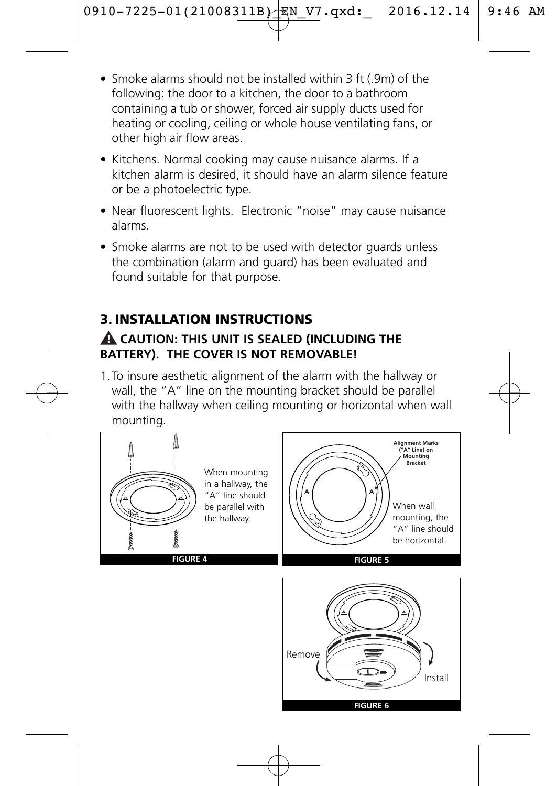- Smoke alarms should not be installed within 3 ft (.9m) of the following: the door to a kitchen, the door to a bathroom containing a tub or shower, forced air supply ducts used for heating or cooling, ceiling or whole house ventilating fans, or other high air flow areas.
- Kitchens. Normal cooking may cause nuisance alarms. If a kitchen alarm is desired, it should have an alarm silence feature or be a photoelectric type.
- Near fluorescent lights. Electronic "noise" may cause nuisance alarms.
- Smoke alarms are not to be used with detector quards unless the combination (alarm and guard) has been evaluated and found suitable for that purpose.

## 3. INSTALLATION INSTRUCTIONS

#### **CAUTION: THIS UNIT IS SEALED (INCLUDING THE ! BATTERY). THE COVER IS NOT REMOVABLE!**

1.To insure aesthetic alignment of the alarm with the hallway or wall, the "A" line on the mounting bracket should be parallel with the hallway when ceiling mounting or horizontal when wall mounting.

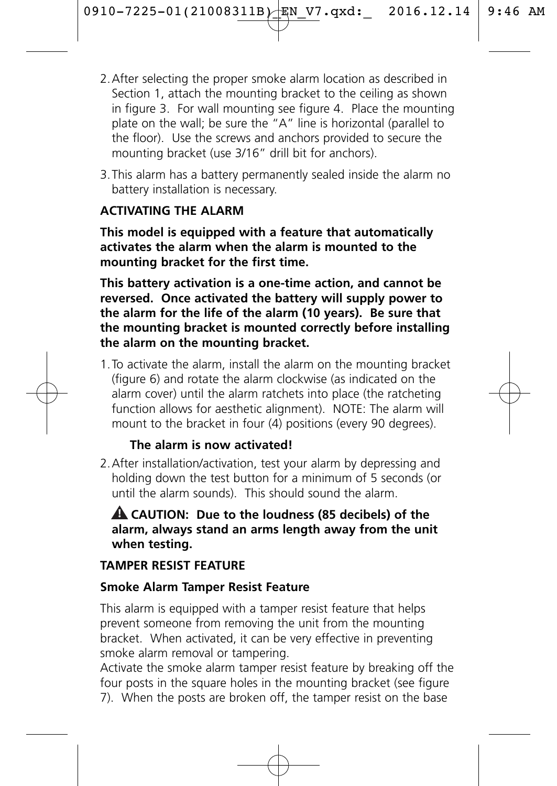- 2.After selecting the proper smoke alarm location as described in Section 1, attach the mounting bracket to the ceiling as shown in figure 3. For wall mounting see figure 4. Place the mounting plate on the wall; be sure the "A" line is horizontal (parallel to the floor). Use the screws and anchors provided to secure the mounting bracket (use 3/16" drill bit for anchors).
- 3.This alarm has a battery permanently sealed inside the alarm no battery installation is necessary.

#### **ACTIVATING THE ALARM**

**This model is equipped with a feature that automatically activates the alarm when the alarm is mounted to the mounting bracket for the first time.** 

**This battery activation is a one-time action, and cannot be reversed. Once activated the battery will supply power to the alarm for the life of the alarm (10 years). Be sure that the mounting bracket is mounted correctly before installing the alarm on the mounting bracket.**

1.To activate the alarm, install the alarm on the mounting bracket (figure 6) and rotate the alarm clockwise (as indicated on the alarm cover) until the alarm ratchets into place (the ratcheting function allows for aesthetic alignment). NOTE: The alarm will mount to the bracket in four (4) positions (every 90 degrees).

#### **The alarm is now activated!**

2.After installation/activation, test your alarm by depressing and holding down the test button for a minimum of 5 seconds (or until the alarm sounds). This should sound the alarm.

#### **CAUTION: Due to the loudness (85 decibels) of the ! alarm, always stand an arms length away from the unit when testing.**

## **TAMPER RESIST FEATURE**

#### **Smoke Alarm Tamper Resist Feature**

This alarm is equipped with a tamper resist feature that helps prevent someone from removing the unit from the mounting bracket. When activated, it can be very effective in preventing smoke alarm removal or tampering.

Activate the smoke alarm tamper resist feature by breaking off the four posts in the square holes in the mounting bracket (see figure 7). When the posts are broken off, the tamper resist on the base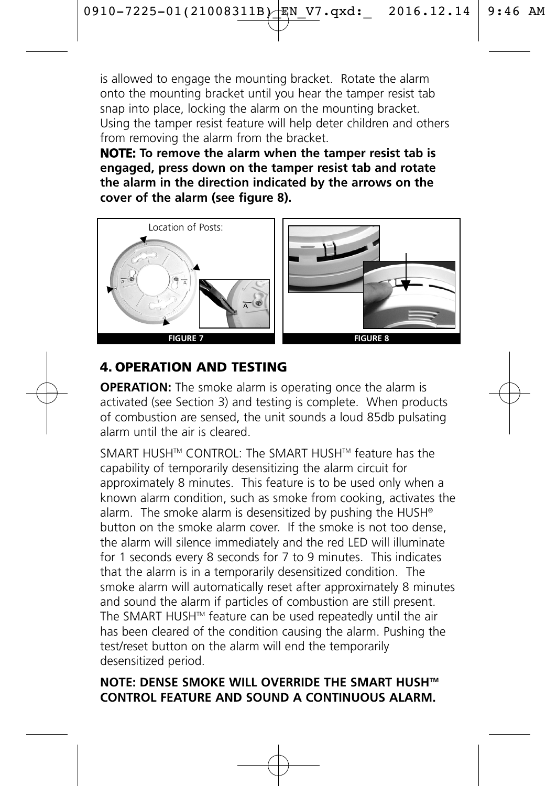is allowed to engage the mounting bracket. Rotate the alarm onto the mounting bracket until you hear the tamper resist tab snap into place, locking the alarm on the mounting bracket. Using the tamper resist feature will help deter children and others from removing the alarm from the bracket.

**NOTE: To remove the alarm when the tamper resist tab is engaged, press down on the tamper resist tab and rotate the alarm in the direction indicated by the arrows on the cover of the alarm (see figure 8).**



## 4. OPERATION AND TESTING

**OPERATION:** The smoke alarm is operating once the alarm is activated (see Section 3) and testing is complete. When products of combustion are sensed, the unit sounds a loud 85db pulsating alarm until the air is cleared.

SMART HUSH™ CONTROL: The SMART HUSH™ feature has the capability of temporarily desensitizing the alarm circuit for approximately 8 minutes. This feature is to be used only when a known alarm condition, such as smoke from cooking, activates the alarm. The smoke alarm is desensitized by pushing the HUSH® button on the smoke alarm cover. If the smoke is not too dense, the alarm will silence immediately and the red LED will illuminate for 1 seconds every 8 seconds for 7 to 9 minutes. This indicates that the alarm is in a temporarily desensitized condition. The smoke alarm will automatically reset after approximately 8 minutes and sound the alarm if particles of combustion are still present. The SMART HUSH™ feature can be used repeatedly until the air has been cleared of the condition causing the alarm. Pushing the test/reset button on the alarm will end the temporarily desensitized period.

#### **NOTE: DENSE SMOKE WILL OVERRIDE THE SMART HUSHTM CONTROL FEATURE AND SOUND A CONTINUOUS ALARM.**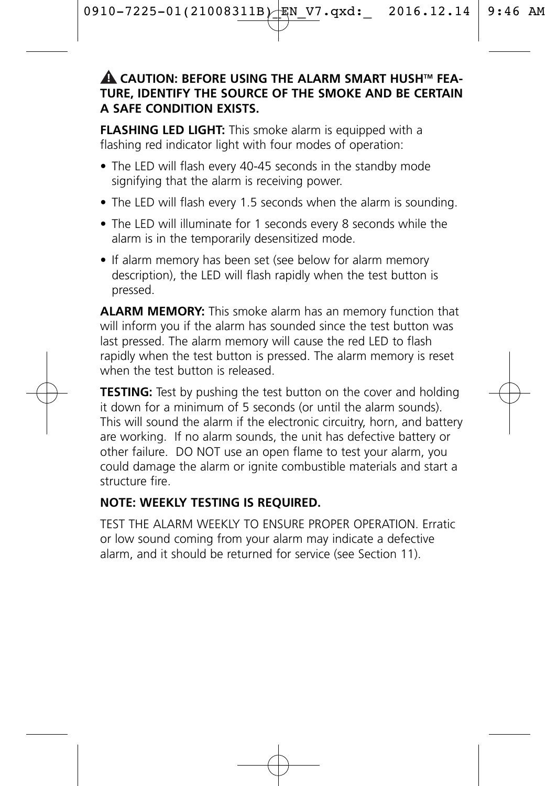#### **CAUTION: BEFORE USING THE ALARM SMART HUSHTM FEA-! TURE, IDENTIFY THE SOURCE OF THE SMOKE AND BE CERTAIN A SAFE CONDITION EXISTS.**

**FLASHING LED LIGHT:** This smoke alarm is equipped with a flashing red indicator light with four modes of operation:

- The LED will flash every 40-45 seconds in the standby mode signifying that the alarm is receiving power.
- The LED will flash every 1.5 seconds when the alarm is sounding.
- The LED will illuminate for 1 seconds every 8 seconds while the alarm is in the temporarily desensitized mode.
- If alarm memory has been set (see below for alarm memory description), the LED will flash rapidly when the test button is pressed.

**ALARM MEMORY:** This smoke alarm has an memory function that will inform you if the alarm has sounded since the test button was last pressed. The alarm memory will cause the red LED to flash rapidly when the test button is pressed. The alarm memory is reset when the test button is released.

**TESTING:** Test by pushing the test button on the cover and holding it down for a minimum of 5 seconds (or until the alarm sounds). This will sound the alarm if the electronic circuitry, horn, and battery are working. If no alarm sounds, the unit has defective battery or other failure. DO NOT use an open flame to test your alarm, you could damage the alarm or ignite combustible materials and start a structure fire.

#### **NOTE: WEEKLY TESTING IS REQUIRED.**

TEST THE ALARM WEEKLY TO ENSURE PROPER OPERATION. Erratic or low sound coming from your alarm may indicate a defective alarm, and it should be returned for service (see Section 11).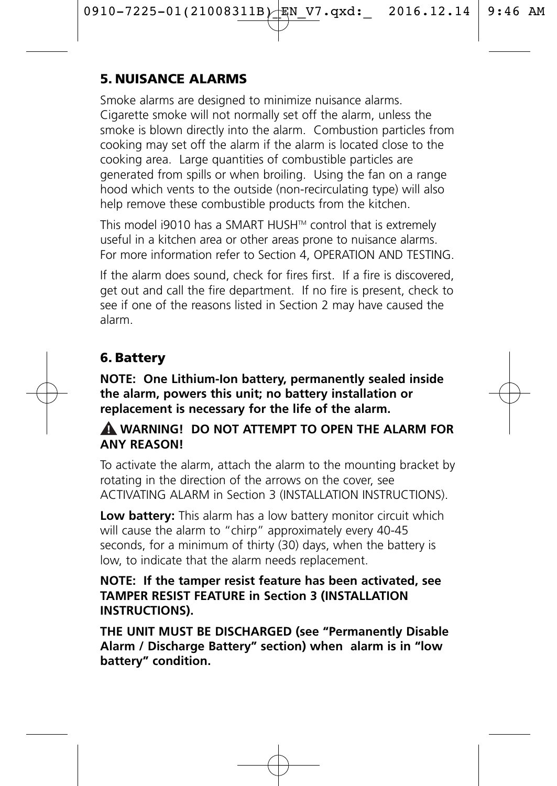## 5. NUISANCE ALARMS

Smoke alarms are designed to minimize nuisance alarms. Cigarette smoke will not normally set off the alarm, unless the smoke is blown directly into the alarm. Combustion particles from cooking may set off the alarm if the alarm is located close to the cooking area. Large quantities of combustible particles are generated from spills or when broiling. Using the fan on a range hood which vents to the outside (non-recirculating type) will also help remove these combustible products from the kitchen

This model i9010 has a SMART HUSH™ control that is extremely useful in a kitchen area or other areas prone to nuisance alarms. For more information refer to Section 4, OPERATION AND TESTING.

If the alarm does sound, check for fires first. If a fire is discovered, get out and call the fire department. If no fire is present, check to see if one of the reasons listed in Section 2 may have caused the alarm.

## 6. Battery

**NOTE: One Lithium-Ion battery, permanently sealed inside the alarm, powers this unit; no battery installation or replacement is necessary for the life of the alarm.**

#### **WARNING! DO NOT ATTEMPT TO OPEN THE ALARM FOR ! ANY REASON!**

To activate the alarm, attach the alarm to the mounting bracket by rotating in the direction of the arrows on the cover, see ACTIVATING ALARM in Section 3 (INSTALLATION INSTRUCTIONS).

**Low battery:** This alarm has a low battery monitor circuit which will cause the alarm to "chirp" approximately every 40-45 seconds, for a minimum of thirty (30) days, when the battery is low, to indicate that the alarm needs replacement.

#### **NOTE: If the tamper resist feature has been activated, see TAMPER RESIST FEATURE in Section 3 (INSTALLATION INSTRUCTIONS).**

**THE UNIT MUST BE DISCHARGED (see "Permanently Disable Alarm / Discharge Battery" section) when alarm is in "low battery" condition.**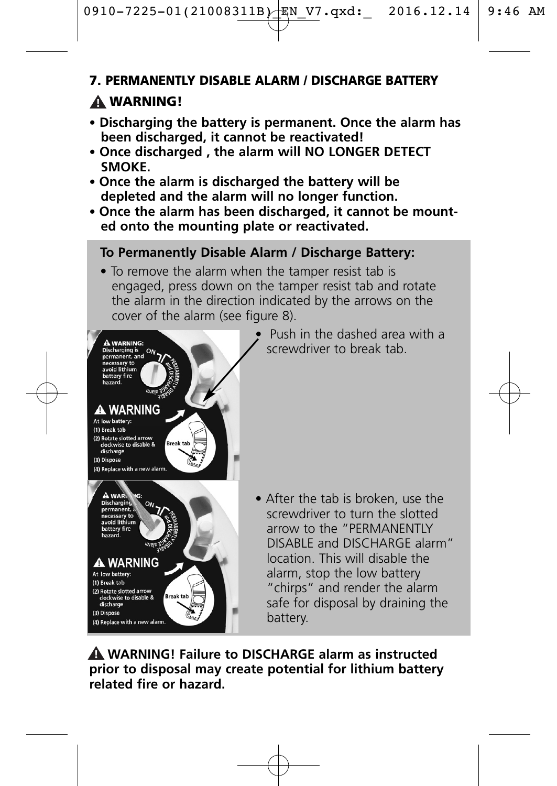#### 7. PERMANENTLY DISABLE ALARM / DISCHARGE BATTERY

# WARNING! **!**

- **Discharging the battery is permanent. Once the alarm has been discharged, it cannot be reactivated!**
- **• Once discharged , the alarm will NO LONGER DETECT SMOKE.**
- **Once the alarm is discharged the battery will be depleted and the alarm will no longer function.**
- **Once the alarm has been discharged, it cannot be mounted onto the mounting plate or reactivated.**

#### **To Permanently Disable Alarm / Discharge Battery:**

• To remove the alarm when the tamper resist tab is engaged, press down on the tamper resist tab and rotate the alarm in the direction indicated by the arrows on the cover of the alarm (see figure 8).



• Push in the dashed area with a screwdriver to break tab.

• After the tab is broken, use the screwdriver to turn the slotted arrow to the "PERMANENTLY DISABLE and DISCHARGE alarm" location. This will disable the alarm, stop the low battery "chirps" and render the alarm safe for disposal by draining the battery.

**WARNING! Failure to DISCHARGE alarm as instructed ! prior to disposal may create potential for lithium battery related fire or hazard.**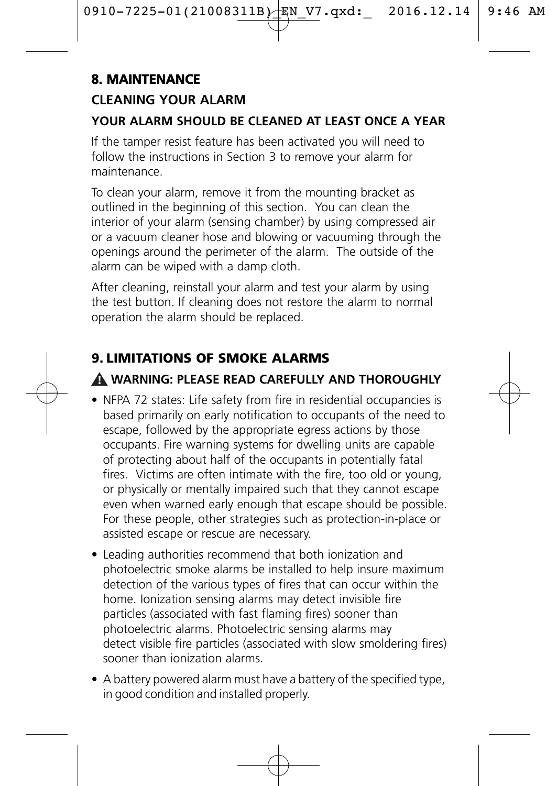# **8. MAINTENANCE**

## **CLEANING YOUR ALARM**

## **YOUR ALARM SHOULD BE CLEANED AT LEAST ONCE A YEAR**

If the tamper resist feature has been activated you will need to follow the instructions in Section 3 to remove your alarm for maintenance.

To clean your alarm, remove it from the mounting bracket as outlined in the beginning of this section. You can clean the interior of your alarm (sensing chamber) by using compressed air or a vacuum cleaner hose and blowing or vacuuming through the openings around the perimeter of the alarm. The outside of the alarm can be wiped with a damp cloth.

After cleaning, reinstall your alarm and test your alarm by using the test button. If cleaning does not restore the alarm to normal operation the alarm should be replaced.

# 9. LIMITATIONS OF SMOKE ALARMS

# **WARNING: PLEASE READ CAREFULLY AND THOROUGHLY !**

- NFPA 72 states: Life safety from fire in residential occupancies is based primarily on early notification to occupants of the need to escape, followed by the appropriate egress actions by those occupants. Fire warning systems for dwelling units are capable of protecting about half of the occupants in potentially fatal fires. Victims are often intimate with the fire, too old or young, or physically or mentally impaired such that they cannot escape even when warned early enough that escape should be possible. For these people, other strategies such as protection-in-place or assisted escape or rescue are necessary.
- Leading authorities recommend that both ionization and photoelectric smoke alarms be installed to help insure maximum detection of the various types of fires that can occur within the home. Ionization sensing alarms may detect invisible fire particles (associated with fast flaming fires) sooner than photoelectric alarms. Photoelectric sensing alarms may detect visible fire particles (associated with slow smoldering fires) sooner than ionization alarms.
- A battery powered alarm must have a battery of the specified type, in good condition and installed properly.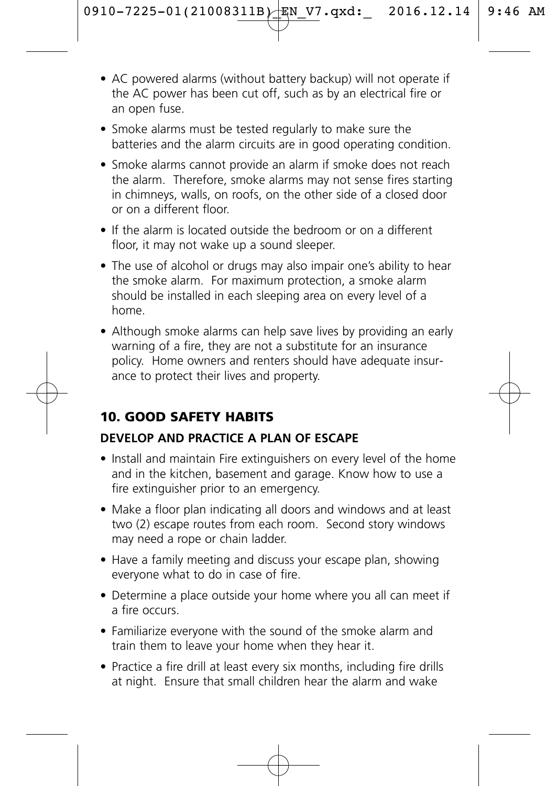- AC powered alarms (without battery backup) will not operate if the AC power has been cut off, such as by an electrical fire or an open fuse.
- Smoke alarms must be tested regularly to make sure the batteries and the alarm circuits are in good operating condition.
- Smoke alarms cannot provide an alarm if smoke does not reach the alarm. Therefore, smoke alarms may not sense fires starting in chimneys, walls, on roofs, on the other side of a closed door or on a different floor.
- If the alarm is located outside the bedroom or on a different floor, it may not wake up a sound sleeper.
- The use of alcohol or drugs may also impair one's ability to hear the smoke alarm. For maximum protection, a smoke alarm should be installed in each sleeping area on every level of a home.
- Although smoke alarms can help save lives by providing an early warning of a fire, they are not a substitute for an insurance policy. Home owners and renters should have adequate insurance to protect their lives and property.

## 10. GOOD SAFETY HABITS

#### **DEVELOP AND PRACTICE A PLAN OF ESCAPE**

- Install and maintain Fire extinguishers on every level of the home and in the kitchen, basement and garage. Know how to use a fire extinguisher prior to an emergency.
- Make a floor plan indicating all doors and windows and at least two (2) escape routes from each room. Second story windows may need a rope or chain ladder.
- Have a family meeting and discuss your escape plan, showing everyone what to do in case of fire.
- Determine a place outside your home where you all can meet if a fire occurs.
- Familiarize everyone with the sound of the smoke alarm and train them to leave your home when they hear it.
- Practice a fire drill at least every six months, including fire drills at night. Ensure that small children hear the alarm and wake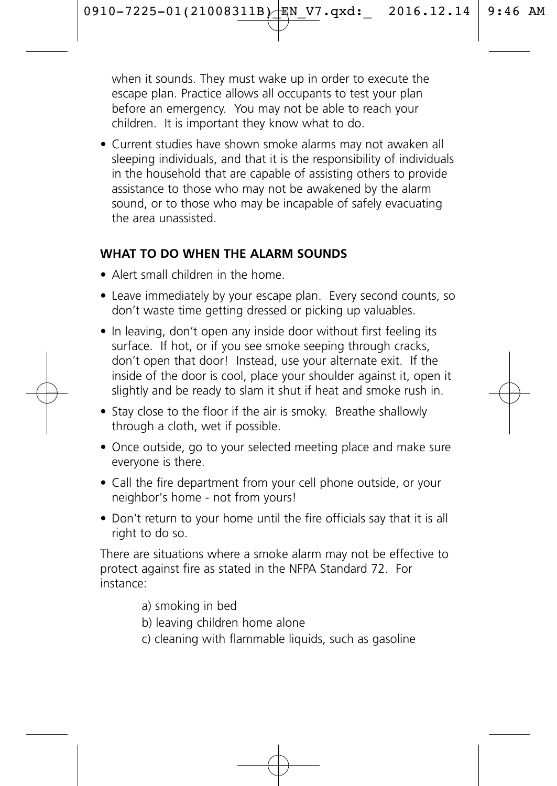when it sounds. They must wake up in order to execute the escape plan. Practice allows all occupants to test your plan before an emergency. You may not be able to reach your children. It is important they know what to do.

• Current studies have shown smoke alarms may not awaken all sleeping individuals, and that it is the responsibility of individuals in the household that are capable of assisting others to provide assistance to those who may not be awakened by the alarm sound, or to those who may be incapable of safely evacuating the area unassisted.

#### **WHAT TO DO WHEN THE ALARM SOUNDS**

- Alert small children in the home.
- Leave immediately by your escape plan. Every second counts, so don't waste time getting dressed or picking up valuables.
- In leaving, don't open any inside door without first feeling its surface. If hot, or if you see smoke seeping through cracks, don't open that door! Instead, use your alternate exit. If the inside of the door is cool, place your shoulder against it, open it slightly and be ready to slam it shut if heat and smoke rush in.
- Stay close to the floor if the air is smoky. Breathe shallowly through a cloth, wet if possible.
- Once outside, go to your selected meeting place and make sure everyone is there.
- Call the fire department from your cell phone outside, or your neighbor's home - not from yours!
- Don't return to your home until the fire officials say that it is all right to do so.

There are situations where a smoke alarm may not be effective to protect against fire as stated in the NFPA Standard 72. For instance:

- a) smoking in bed
- b) leaving children home alone
- c) cleaning with flammable liquids, such as gasoline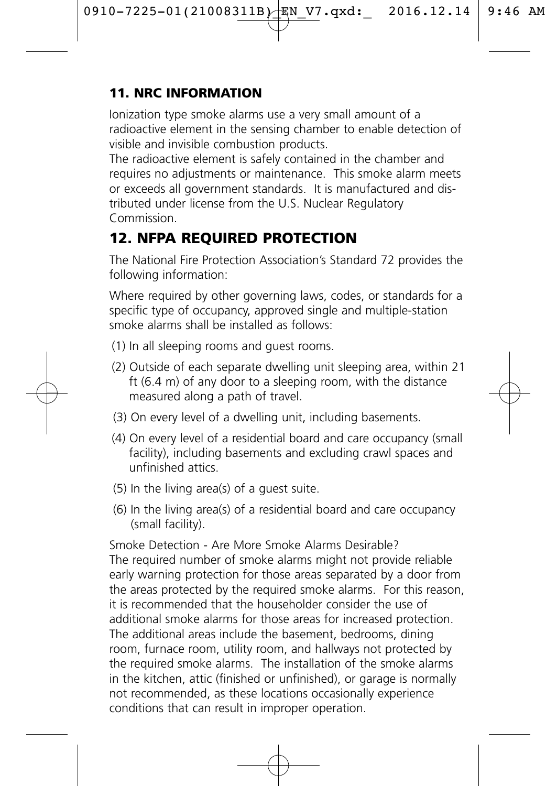## 11. NRC INFORMATION

Ionization type smoke alarms use a very small amount of a radioactive element in the sensing chamber to enable detection of visible and invisible combustion products.

The radioactive element is safely contained in the chamber and requires no adjustments or maintenance. This smoke alarm meets or exceeds all government standards. It is manufactured and distributed under license from the U.S. Nuclear Regulatory Commission.

# 12. NFPA REQUIRED PROTECTION

The National Fire Protection Association's Standard 72 provides the following information:

Where required by other governing laws, codes, or standards for a specific type of occupancy, approved single and multiple-station smoke alarms shall be installed as follows:

- (1) In all sleeping rooms and guest rooms.
- (2) Outside of each separate dwelling unit sleeping area, within 21 ft (6.4 m) of any door to a sleeping room, with the distance measured along a path of travel.
- (3) On every level of a dwelling unit, including basements.
- (4) On every level of a residential board and care occupancy (small facility), including basements and excluding crawl spaces and unfinished attics.
- (5) In the living area(s) of a guest suite.
- (6) In the living area(s) of a residential board and care occupancy (small facility).

Smoke Detection - Are More Smoke Alarms Desirable? The required number of smoke alarms might not provide reliable early warning protection for those areas separated by a door from the areas protected by the required smoke alarms. For this reason, it is recommended that the householder consider the use of additional smoke alarms for those areas for increased protection. The additional areas include the basement, bedrooms, dining room, furnace room, utility room, and hallways not protected by the required smoke alarms. The installation of the smoke alarms in the kitchen, attic (finished or unfinished), or garage is normally not recommended, as these locations occasionally experience conditions that can result in improper operation.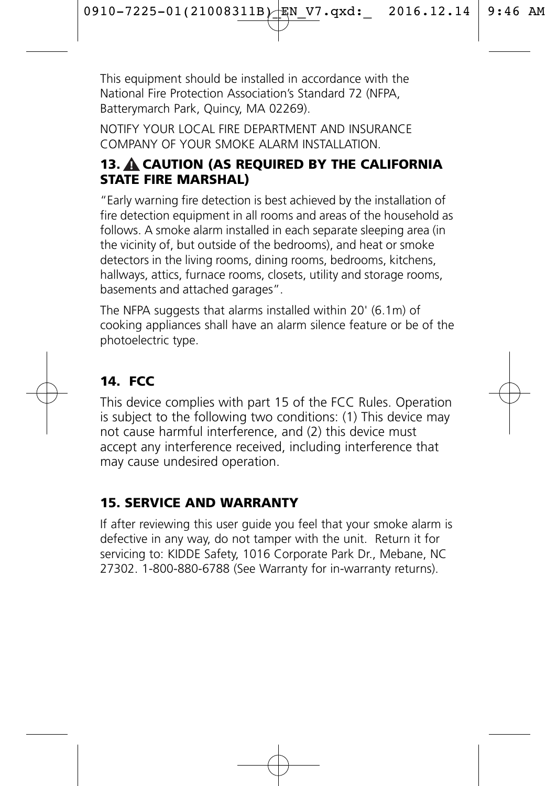This equipment should be installed in accordance with the National Fire Protection Association's Standard 72 (NFPA, Batterymarch Park, Quincy, MA 02269).

NOTIFY YOUR LOCAL FIRE DEPARTMENT AND INSURANCE COMPANY OF YOUR SMOKE ALARM INSTALLATION.

## 13. A CAUTION (AS REQUIRED BY THE CALIFORNIA STATE FIRE MARSHAL)

"Early warning fire detection is best achieved by the installation of fire detection equipment in all rooms and areas of the household as follows. A smoke alarm installed in each separate sleeping area (in the vicinity of, but outside of the bedrooms), and heat or smoke detectors in the living rooms, dining rooms, bedrooms, kitchens, hallways, attics, furnace rooms, closets, utility and storage rooms. basements and attached garages".

The NFPA suggests that alarms installed within 20' (6.1m) of cooking appliances shall have an alarm silence feature or be of the photoelectric type.

# 14. FCC

This device complies with part 15 of the FCC Rules. Operation is subject to the following two conditions: (1) This device may not cause harmful interference, and (2) this device must accept any interference received, including interference that may cause undesired operation.

## 15. SERVICE AND WARRANTY

If after reviewing this user guide you feel that your smoke alarm is defective in any way, do not tamper with the unit. Return it for servicing to: KIDDE Safety, 1016 Corporate Park Dr., Mebane, NC 27302. 1-800-880-6788 (See Warranty for in-warranty returns).